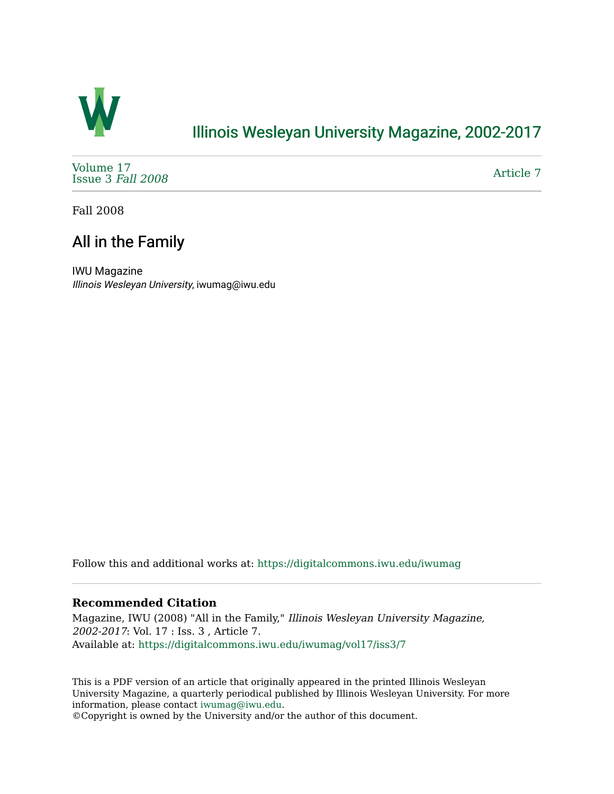

## [Illinois Wesleyan University Magazine, 2002-2017](https://digitalcommons.iwu.edu/iwumag)

[Volume 17](https://digitalcommons.iwu.edu/iwumag/vol17)  [Issue 3](https://digitalcommons.iwu.edu/iwumag/vol17/iss3) Fall 2008

[Article 7](https://digitalcommons.iwu.edu/iwumag/vol17/iss3/7) 

Fall 2008

## All in the Family

IWU Magazine Illinois Wesleyan University, iwumag@iwu.edu

Follow this and additional works at: [https://digitalcommons.iwu.edu/iwumag](https://digitalcommons.iwu.edu/iwumag?utm_source=digitalcommons.iwu.edu%2Fiwumag%2Fvol17%2Fiss3%2F7&utm_medium=PDF&utm_campaign=PDFCoverPages) 

## **Recommended Citation**

Magazine, IWU (2008) "All in the Family," Illinois Wesleyan University Magazine, 2002-2017: Vol. 17 : Iss. 3 , Article 7. Available at: [https://digitalcommons.iwu.edu/iwumag/vol17/iss3/7](https://digitalcommons.iwu.edu/iwumag/vol17/iss3/7?utm_source=digitalcommons.iwu.edu%2Fiwumag%2Fvol17%2Fiss3%2F7&utm_medium=PDF&utm_campaign=PDFCoverPages)

This is a PDF version of an article that originally appeared in the printed Illinois Wesleyan University Magazine, a quarterly periodical published by Illinois Wesleyan University. For more information, please contact [iwumag@iwu.edu](mailto:iwumag@iwu.edu).

©Copyright is owned by the University and/or the author of this document.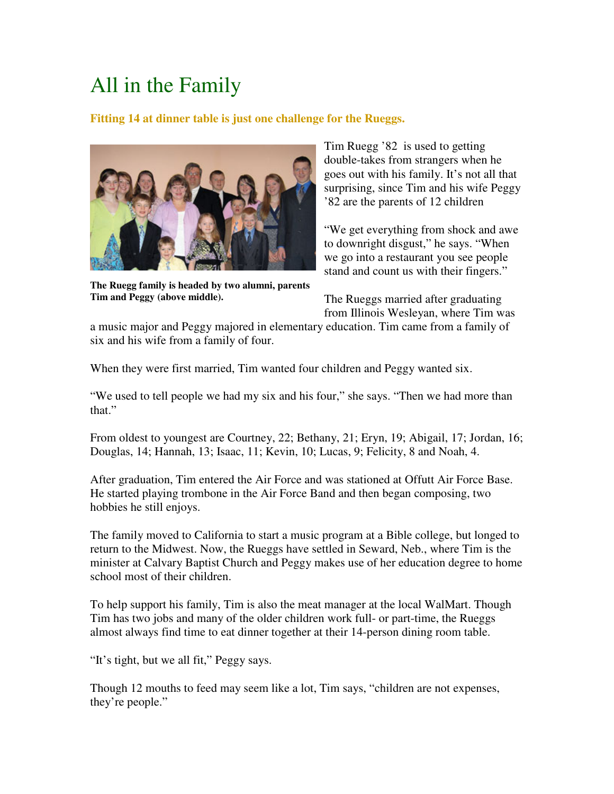## All in the Family

**Fitting 14 at dinner table is just one challenge for the Rueggs.** 



**The Ruegg family is headed by two alumni, parents Tim and Peggy (above middle).**

Tim Ruegg '82 is used to getting double-takes from strangers when he goes out with his family. It's not all that surprising, since Tim and his wife Peggy '82 are the parents of 12 children

"We get everything from shock and awe to downright disgust," he says. "When we go into a restaurant you see people stand and count us with their fingers."

The Rueggs married after graduating from Illinois Wesleyan, where Tim was

a music major and Peggy majored in elementary education. Tim came from a family of six and his wife from a family of four.

When they were first married, Tim wanted four children and Peggy wanted six.

"We used to tell people we had my six and his four," she says. "Then we had more than that."

From oldest to youngest are Courtney, 22; Bethany, 21; Eryn, 19; Abigail, 17; Jordan, 16; Douglas, 14; Hannah, 13; Isaac, 11; Kevin, 10; Lucas, 9; Felicity, 8 and Noah, 4.

After graduation, Tim entered the Air Force and was stationed at Offutt Air Force Base. He started playing trombone in the Air Force Band and then began composing, two hobbies he still enjoys.

The family moved to California to start a music program at a Bible college, but longed to return to the Midwest. Now, the Rueggs have settled in Seward, Neb., where Tim is the minister at Calvary Baptist Church and Peggy makes use of her education degree to home school most of their children.

To help support his family, Tim is also the meat manager at the local WalMart. Though Tim has two jobs and many of the older children work full- or part-time, the Rueggs almost always find time to eat dinner together at their 14-person dining room table.

"It's tight, but we all fit," Peggy says.

Though 12 mouths to feed may seem like a lot, Tim says, "children are not expenses, they're people."